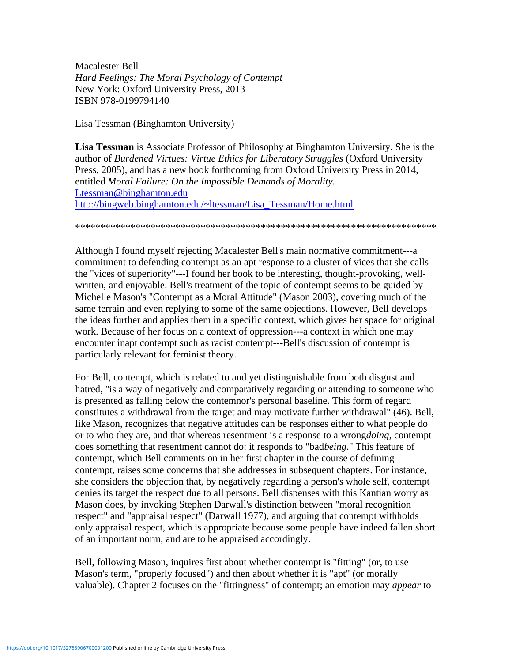Macalester Bell *Hard Feelings: The Moral Psychology of Contempt* New York: Oxford University Press, 2013 ISBN 978-0199794140

Lisa Tessman (Binghamton University)

**Lisa Tessman** is Associate Professor of Philosophy at Binghamton University. She is the author of *Burdened Virtues: Virtue Ethics for Liberatory Struggles* (Oxford University Press, 2005), and has a new book forthcoming from Oxford University Press in 2014, entitled *Moral Failure: On the Impossible Demands of Morality.* [Ltessman@binghamton.edu](mailto:Ltessman@binghamton.edu) [http://bingweb.binghamton.edu/~ltessman/Lisa\\_Tessman/Home.html](http://bingweb.binghamton.edu/~ltessman/Lisa_Tessman/Home.html)

\*\*\*\*\*\*\*\*\*\*\*\*\*\*\*\*\*\*\*\*\*\*\*\*\*\*\*\*\*\*\*\*\*\*\*\*\*\*\*\*\*\*\*\*\*\*\*\*\*\*\*\*\*\*\*\*\*\*\*\*\*\*\*\*\*\*\*\*\*\*\*\*

Although I found myself rejecting Macalester Bell's main normative commitment---a commitment to defending contempt as an apt response to a cluster of vices that she calls the "vices of superiority"---I found her book to be interesting, thought-provoking, wellwritten, and enjoyable. Bell's treatment of the topic of contempt seems to be guided by Michelle Mason's "Contempt as a Moral Attitude" (Mason 2003), covering much of the same terrain and even replying to some of the same objections. However, Bell develops the ideas further and applies them in a specific context, which gives her space for original work. Because of her focus on a context of oppression---a context in which one may encounter inapt contempt such as racist contempt---Bell's discussion of contempt is particularly relevant for feminist theory.

For Bell, contempt, which is related to and yet distinguishable from both disgust and hatred, "is a way of negatively and comparatively regarding or attending to someone who is presented as falling below the contemnor's personal baseline. This form of regard constitutes a withdrawal from the target and may motivate further withdrawal" (46). Bell, like Mason, recognizes that negative attitudes can be responses either to what people do or to who they are, and that whereas resentment is a response to a wrong*doing,* contempt does something that resentment cannot do: it responds to "bad*being*." This feature of contempt, which Bell comments on in her first chapter in the course of defining contempt, raises some concerns that she addresses in subsequent chapters. For instance, she considers the objection that, by negatively regarding a person's whole self, contempt denies its target the respect due to all persons. Bell dispenses with this Kantian worry as Mason does, by invoking Stephen Darwall's distinction between "moral recognition respect" and "appraisal respect" (Darwall 1977), and arguing that contempt withholds only appraisal respect, which is appropriate because some people have indeed fallen short of an important norm, and are to be appraised accordingly.

Bell, following Mason, inquires first about whether contempt is "fitting" (or, to use Mason's term, "properly focused") and then about whether it is "apt" (or morally valuable). Chapter 2 focuses on the "fittingness" of contempt; an emotion may *appear* to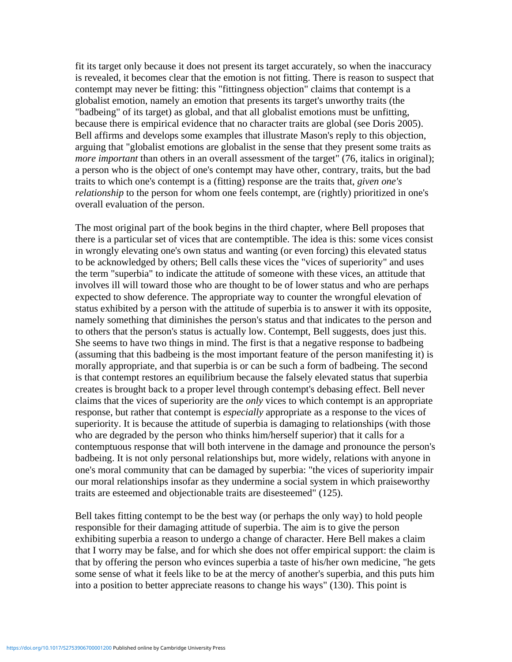fit its target only because it does not present its target accurately, so when the inaccuracy is revealed, it becomes clear that the emotion is not fitting. There is reason to suspect that contempt may never be fitting: this "fittingness objection" claims that contempt is a globalist emotion, namely an emotion that presents its target's unworthy traits (the "badbeing" of its target) as global, and that all globalist emotions must be unfitting, because there is empirical evidence that no character traits are global (see Doris 2005). Bell affirms and develops some examples that illustrate Mason's reply to this objection, arguing that "globalist emotions are globalist in the sense that they present some traits as *more important* than others in an overall assessment of the target" (76, italics in original); a person who is the object of one's contempt may have other, contrary, traits, but the bad traits to which one's contempt is a (fitting) response are the traits that, *given one's relationship* to the person for whom one feels contempt, are (rightly) prioritized in one's overall evaluation of the person.

The most original part of the book begins in the third chapter, where Bell proposes that there is a particular set of vices that are contemptible. The idea is this: some vices consist in wrongly elevating one's own status and wanting (or even forcing) this elevated status to be acknowledged by others; Bell calls these vices the "vices of superiority" and uses the term "superbia" to indicate the attitude of someone with these vices, an attitude that involves ill will toward those who are thought to be of lower status and who are perhaps expected to show deference. The appropriate way to counter the wrongful elevation of status exhibited by a person with the attitude of superbia is to answer it with its opposite, namely something that diminishes the person's status and that indicates to the person and to others that the person's status is actually low. Contempt, Bell suggests, does just this. She seems to have two things in mind. The first is that a negative response to badbeing (assuming that this badbeing is the most important feature of the person manifesting it) is morally appropriate, and that superbia is or can be such a form of badbeing. The second is that contempt restores an equilibrium because the falsely elevated status that superbia creates is brought back to a proper level through contempt's debasing effect. Bell never claims that the vices of superiority are the *only* vices to which contempt is an appropriate response, but rather that contempt is *especially* appropriate as a response to the vices of superiority. It is because the attitude of superbia is damaging to relationships (with those who are degraded by the person who thinks him/herself superior) that it calls for a contemptuous response that will both intervene in the damage and pronounce the person's badbeing. It is not only personal relationships but, more widely, relations with anyone in one's moral community that can be damaged by superbia: "the vices of superiority impair our moral relationships insofar as they undermine a social system in which praiseworthy traits are esteemed and objectionable traits are disesteemed" (125).

Bell takes fitting contempt to be the best way (or perhaps the only way) to hold people responsible for their damaging attitude of superbia. The aim is to give the person exhibiting superbia a reason to undergo a change of character. Here Bell makes a claim that I worry may be false, and for which she does not offer empirical support: the claim is that by offering the person who evinces superbia a taste of his/her own medicine, "he gets some sense of what it feels like to be at the mercy of another's superbia, and this puts him into a position to better appreciate reasons to change his ways" (130). This point is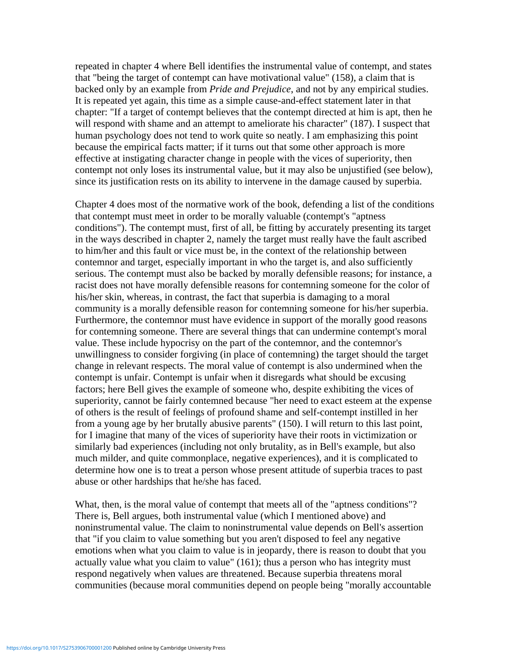repeated in chapter 4 where Bell identifies the instrumental value of contempt, and states that "being the target of contempt can have motivational value" (158), a claim that is backed only by an example from *Pride and Prejudice*, and not by any empirical studies. It is repeated yet again, this time as a simple cause-and-effect statement later in that chapter: "If a target of contempt believes that the contempt directed at him is apt, then he will respond with shame and an attempt to ameliorate his character" (187). I suspect that human psychology does not tend to work quite so neatly. I am emphasizing this point because the empirical facts matter; if it turns out that some other approach is more effective at instigating character change in people with the vices of superiority, then contempt not only loses its instrumental value, but it may also be unjustified (see below), since its justification rests on its ability to intervene in the damage caused by superbia.

Chapter 4 does most of the normative work of the book, defending a list of the conditions that contempt must meet in order to be morally valuable (contempt's "aptness conditions"). The contempt must, first of all, be fitting by accurately presenting its target in the ways described in chapter 2, namely the target must really have the fault ascribed to him/her and this fault or vice must be, in the context of the relationship between contemnor and target, especially important in who the target is, and also sufficiently serious. The contempt must also be backed by morally defensible reasons; for instance, a racist does not have morally defensible reasons for contemning someone for the color of his/her skin, whereas, in contrast, the fact that superbia is damaging to a moral community is a morally defensible reason for contemning someone for his/her superbia. Furthermore, the contemnor must have evidence in support of the morally good reasons for contemning someone. There are several things that can undermine contempt's moral value. These include hypocrisy on the part of the contemnor, and the contemnor's unwillingness to consider forgiving (in place of contemning) the target should the target change in relevant respects. The moral value of contempt is also undermined when the contempt is unfair. Contempt is unfair when it disregards what should be excusing factors; here Bell gives the example of someone who, despite exhibiting the vices of superiority, cannot be fairly contemned because "her need to exact esteem at the expense of others is the result of feelings of profound shame and self-contempt instilled in her from a young age by her brutally abusive parents" (150). I will return to this last point, for I imagine that many of the vices of superiority have their roots in victimization or similarly bad experiences (including not only brutality, as in Bell's example, but also much milder, and quite commonplace, negative experiences), and it is complicated to determine how one is to treat a person whose present attitude of superbia traces to past abuse or other hardships that he/she has faced.

What, then, is the moral value of contempt that meets all of the "aptness conditions"? There is, Bell argues, both instrumental value (which I mentioned above) and noninstrumental value. The claim to noninstrumental value depends on Bell's assertion that "if you claim to value something but you aren't disposed to feel any negative emotions when what you claim to value is in jeopardy, there is reason to doubt that you actually value what you claim to value" (161); thus a person who has integrity must respond negatively when values are threatened. Because superbia threatens moral communities (because moral communities depend on people being "morally accountable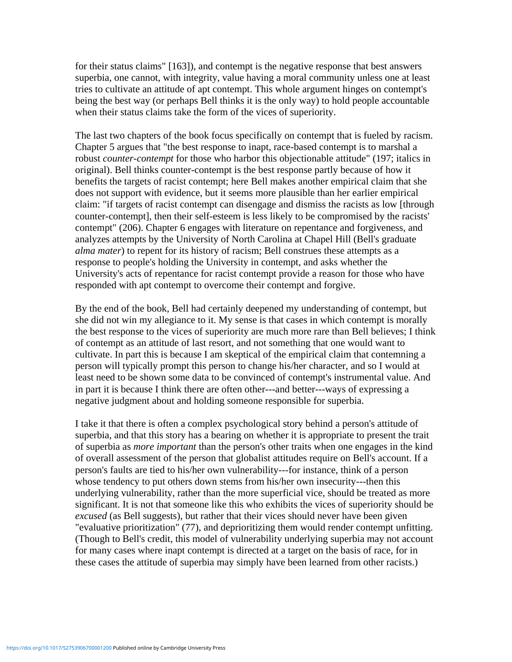for their status claims" [163]), and contempt is the negative response that best answers superbia, one cannot, with integrity, value having a moral community unless one at least tries to cultivate an attitude of apt contempt. This whole argument hinges on contempt's being the best way (or perhaps Bell thinks it is the only way) to hold people accountable when their status claims take the form of the vices of superiority.

The last two chapters of the book focus specifically on contempt that is fueled by racism. Chapter 5 argues that "the best response to inapt, race-based contempt is to marshal a robust *counter-contempt* for those who harbor this objectionable attitude" (197; italics in original). Bell thinks counter-contempt is the best response partly because of how it benefits the targets of racist contempt; here Bell makes another empirical claim that she does not support with evidence, but it seems more plausible than her earlier empirical claim: "if targets of racist contempt can disengage and dismiss the racists as low [through counter-contempt], then their self-esteem is less likely to be compromised by the racists' contempt" (206). Chapter 6 engages with literature on repentance and forgiveness, and analyzes attempts by the University of North Carolina at Chapel Hill (Bell's graduate *alma mater*) to repent for its history of racism; Bell construes these attempts as a response to people's holding the University in contempt, and asks whether the University's acts of repentance for racist contempt provide a reason for those who have responded with apt contempt to overcome their contempt and forgive.

By the end of the book, Bell had certainly deepened my understanding of contempt, but she did not win my allegiance to it. My sense is that cases in which contempt is morally the best response to the vices of superiority are much more rare than Bell believes; I think of contempt as an attitude of last resort, and not something that one would want to cultivate. In part this is because I am skeptical of the empirical claim that contemning a person will typically prompt this person to change his/her character, and so I would at least need to be shown some data to be convinced of contempt's instrumental value. And in part it is because I think there are often other---and better---ways of expressing a negative judgment about and holding someone responsible for superbia.

I take it that there is often a complex psychological story behind a person's attitude of superbia, and that this story has a bearing on whether it is appropriate to present the trait of superbia as *more important* than the person's other traits when one engages in the kind of overall assessment of the person that globalist attitudes require on Bell's account. If a person's faults are tied to his/her own vulnerability---for instance, think of a person whose tendency to put others down stems from his/her own insecurity---then this underlying vulnerability, rather than the more superficial vice, should be treated as more significant. It is not that someone like this who exhibits the vices of superiority should be *excused* (as Bell suggests), but rather that their vices should never have been given "evaluative prioritization" (77), and deprioritizing them would render contempt unfitting. (Though to Bell's credit, this model of vulnerability underlying superbia may not account for many cases where inapt contempt is directed at a target on the basis of race, for in these cases the attitude of superbia may simply have been learned from other racists.)